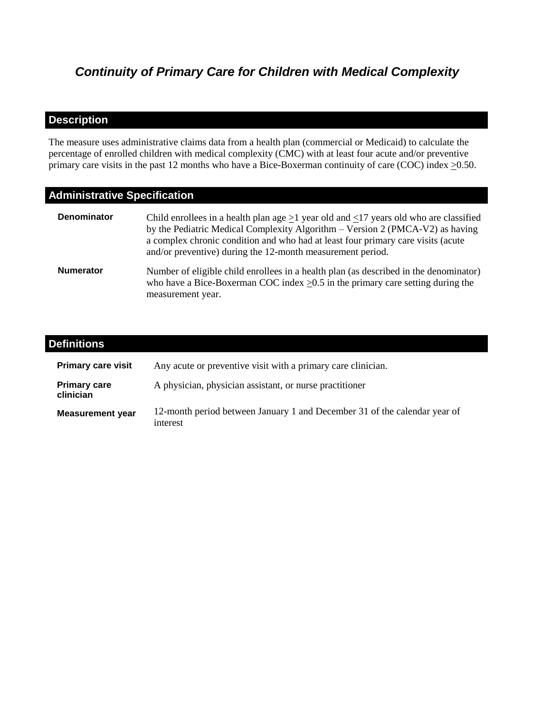# *Continuity of Primary Care for Children with Medical Complexity*

# **Description**

The measure uses administrative claims data from a health plan (commercial or Medicaid) to calculate the percentage of enrolled children with medical complexity (CMC) with at least four acute and/or preventive primary care visits in the past 12 months who have a Bice-Boxerman continuity of care (COC) index  $\geq$ 0.50.

# **Administrative Specification**

| <b>Denominator</b> | Child enrollees in a health plan age $>1$ year old and $<17$ years old who are classified<br>by the Pediatric Medical Complexity Algorithm – Version 2 (PMCA-V2) as having<br>a complex chronic condition and who had at least four primary care visits (acute<br>and/or preventive) during the 12-month measurement period. |
|--------------------|------------------------------------------------------------------------------------------------------------------------------------------------------------------------------------------------------------------------------------------------------------------------------------------------------------------------------|
| <b>Numerator</b>   | Number of eligible child enrollees in a health plan (as described in the denominator)<br>who have a Bice-Boxerman COC index $>0.5$ in the primary care setting during the<br>measurement year.                                                                                                                               |

| <b>Definitions</b>               |                                                                                       |
|----------------------------------|---------------------------------------------------------------------------------------|
| <b>Primary care visit</b>        | Any acute or preventive visit with a primary care clinician.                          |
| <b>Primary care</b><br>clinician | A physician, physician assistant, or nurse practitioner                               |
| <b>Measurement year</b>          | 12-month period between January 1 and December 31 of the calendar year of<br>interest |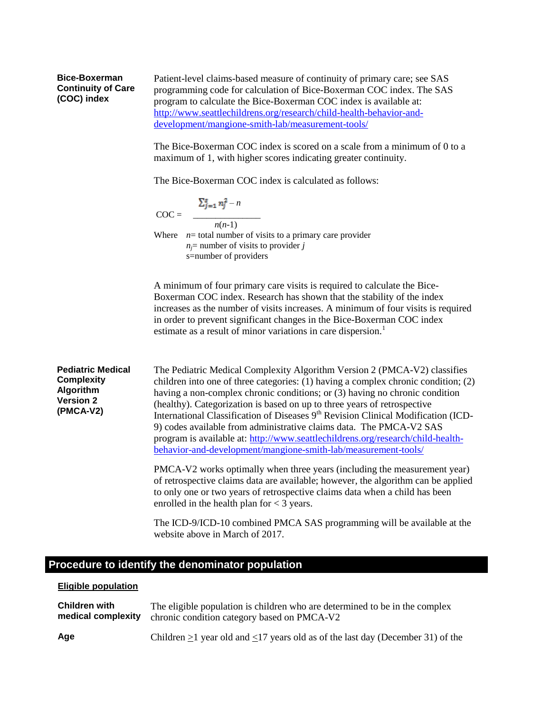#### **Bice-Boxerman Continuity of Care (COC) index**

Patient-level claims-based measure of continuity of primary care; see SAS programming code for calculation of Bice-Boxerman COC index. The SAS program to calculate the Bice-Boxerman COC index is available at: [http://www.seattlechildrens.org/research/child-health-behavior-and](http://www.seattlechildrens.org/research/child-health-behavior-and-development/mangione-smith-lab/measurement-tools/)[development/mangione-smith-lab/measurement-tools/](http://www.seattlechildrens.org/research/child-health-behavior-and-development/mangione-smith-lab/measurement-tools/)

The Bice-Boxerman COC index is scored on a scale from a minimum of 0 to a maximum of 1, with higher scores indicating greater continuity.

The Bice-Boxerman COC index is calculated as follows:

$$
\sum_{j=1}^{s} n_j^2 - n
$$
 
$$
COC =
$$

 *n*(*n*-1) Where  $n=$  total number of visits to a primary care provider  $n_j$ = number of visits to provider *j* s=number of providers

A minimum of four primary care visits is required to calculate the Bice-Boxerman COC index. Research has shown that the stability of the index increases as the number of visits increases. A minimum of four visits is required in order to prevent significant changes in the Bice-Boxerman COC index estimate as a result of minor variations in care dispersion.<sup>1</sup>

**Pediatric Medical Complexity Algorithm Version 2 (PMCA-V2)** The Pediatric Medical Complexity Algorithm Version 2 (PMCA-V2) classifies children into one of three categories: (1) having a complex chronic condition; (2) having a non-complex chronic conditions; or (3) having no chronic condition (healthy). Categorization is based on up to three years of retrospective International Classification of Diseases  $9<sup>th</sup>$  Revision Clinical Modification (ICD-9) codes available from administrative claims data. The PMCA-V2 SAS program is available at: [http://www.seattlechildrens.org/research/child-health](http://www.seattlechildrens.org/research/child-health-behavior-and-development/mangione-smith-lab/measurement-tools/)[behavior-and-development/mangione-smith-lab/measurement-tools/](http://www.seattlechildrens.org/research/child-health-behavior-and-development/mangione-smith-lab/measurement-tools/)

> PMCA-V2 works optimally when three years (including the measurement year) of retrospective claims data are available; however, the algorithm can be applied to only one or two years of retrospective claims data when a child has been enrolled in the health plan for  $<$  3 years.

> The ICD-9/ICD-10 combined PMCA SAS programming will be available at the website above in March of 2017.

## **Procedure to identify the denominator population**

#### **Eligible population**

| <b>Children with</b> | The eligible population is children who are determined to be in the complex                |
|----------------------|--------------------------------------------------------------------------------------------|
| medical complexity   | chronic condition category based on PMCA-V2                                                |
| Age                  | Children $\geq$ 1 year old and $\leq$ 17 years old as of the last day (December 31) of the |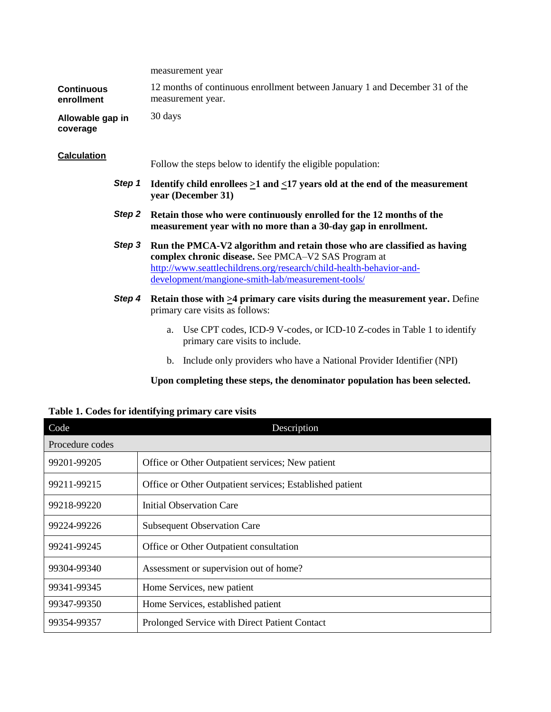|                                 | measurement year                                                                                                                                                                                                                                           |
|---------------------------------|------------------------------------------------------------------------------------------------------------------------------------------------------------------------------------------------------------------------------------------------------------|
| <b>Continuous</b><br>enrollment | 12 months of continuous enrollment between January 1 and December 31 of the<br>measurement year.                                                                                                                                                           |
| Allowable gap in<br>coverage    | 30 days                                                                                                                                                                                                                                                    |
| <b>Calculation</b>              | Follow the steps below to identify the eligible population:                                                                                                                                                                                                |
| Step 1                          | Identify child enrollees $\geq 1$ and $\leq 17$ years old at the end of the measurement<br>year (December 31)                                                                                                                                              |
| Step 2                          | Retain those who were continuously enrolled for the 12 months of the<br>measurement year with no more than a 30-day gap in enrollment.                                                                                                                     |
| Step 3                          | Run the PMCA-V2 algorithm and retain those who are classified as having<br>complex chronic disease. See PMCA-V2 SAS Program at<br>http://www.seattlechildrens.org/research/child-health-behavior-and-<br>development/mangione-smith-lab/measurement-tools/ |
| Step 4                          | Retain those with $\geq$ 4 primary care visits during the measurement year. Define<br>primary care visits as follows:                                                                                                                                      |
|                                 | Use CPT codes, ICD-9 V-codes, or ICD-10 Z-codes in Table 1 to identify<br>a.<br>primary care visits to include.                                                                                                                                            |
|                                 | Include only providers who have a National Provider Identifier (NPI)<br>b.                                                                                                                                                                                 |

**Upon completing these steps, the denominator population has been selected.**

| Table 1. Codes for identifying primary care visits |  |  |  |  |  |  |  |  |
|----------------------------------------------------|--|--|--|--|--|--|--|--|
|----------------------------------------------------|--|--|--|--|--|--|--|--|

| Code            | Description                                              |
|-----------------|----------------------------------------------------------|
| Procedure codes |                                                          |
| 99201-99205     | Office or Other Outpatient services; New patient         |
| 99211-99215     | Office or Other Outpatient services; Established patient |
| 99218-99220     | Initial Observation Care                                 |
| 99224-99226     | <b>Subsequent Observation Care</b>                       |
| 99241-99245     | Office or Other Outpatient consultation                  |
| 99304-99340     | Assessment or supervision out of home?                   |
| 99341-99345     | Home Services, new patient                               |
| 99347-99350     | Home Services, established patient                       |
| 99354-99357     | Prolonged Service with Direct Patient Contact            |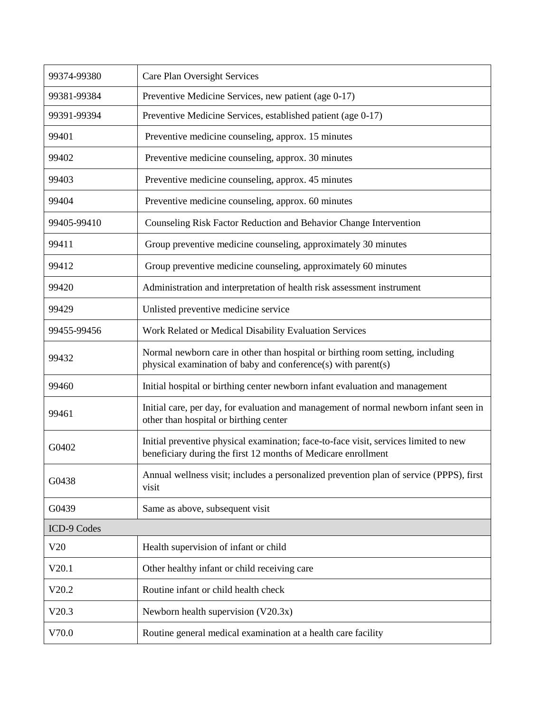| 99374-99380 | Care Plan Oversight Services                                                                                                                          |
|-------------|-------------------------------------------------------------------------------------------------------------------------------------------------------|
| 99381-99384 | Preventive Medicine Services, new patient (age 0-17)                                                                                                  |
| 99391-99394 | Preventive Medicine Services, established patient (age 0-17)                                                                                          |
| 99401       | Preventive medicine counseling, approx. 15 minutes                                                                                                    |
| 99402       | Preventive medicine counseling, approx. 30 minutes                                                                                                    |
| 99403       | Preventive medicine counseling, approx. 45 minutes                                                                                                    |
| 99404       | Preventive medicine counseling, approx. 60 minutes                                                                                                    |
| 99405-99410 | Counseling Risk Factor Reduction and Behavior Change Intervention                                                                                     |
| 99411       | Group preventive medicine counseling, approximately 30 minutes                                                                                        |
| 99412       | Group preventive medicine counseling, approximately 60 minutes                                                                                        |
| 99420       | Administration and interpretation of health risk assessment instrument                                                                                |
| 99429       | Unlisted preventive medicine service                                                                                                                  |
| 99455-99456 | Work Related or Medical Disability Evaluation Services                                                                                                |
| 99432       | Normal newborn care in other than hospital or birthing room setting, including<br>physical examination of baby and conference(s) with parent(s)       |
| 99460       | Initial hospital or birthing center newborn infant evaluation and management                                                                          |
| 99461       | Initial care, per day, for evaluation and management of normal newborn infant seen in<br>other than hospital or birthing center                       |
| G0402       | Initial preventive physical examination; face-to-face visit, services limited to new<br>beneficiary during the first 12 months of Medicare enrollment |
| G0438       | Annual wellness visit; includes a personalized prevention plan of service (PPPS), first<br>visit                                                      |
| G0439       | Same as above, subsequent visit                                                                                                                       |
| ICD-9 Codes |                                                                                                                                                       |
| V20         | Health supervision of infant or child                                                                                                                 |
| V20.1       | Other healthy infant or child receiving care                                                                                                          |
| V20.2       | Routine infant or child health check                                                                                                                  |
| V20.3       | Newborn health supervision $(V20.3x)$                                                                                                                 |
| V70.0       | Routine general medical examination at a health care facility                                                                                         |